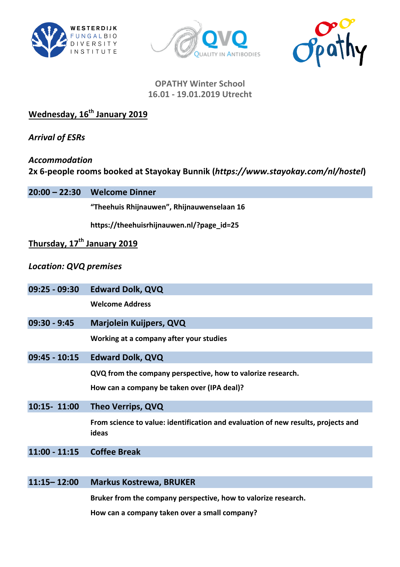





# **OPATHY Winter School 16.01 - 19.01.2019 Utrecht**

**Wednesday, 16th January 2019**

*Arrival of ESRs*

*Accommodation* **2x 6-people rooms booked at Stayokay Bunnik (https://www.stayokay.com/nl/hostel)** 

**20:00 – 22:30 Welcome Dinner**

**"Theehuis Rhijnauwen", Rhijnauwenselaan 16**

**https://theehuisrhijnauwen.nl/?page\_id=25**

# **Thursday, 17th January 2019**

## *Location: QVQ premises*

| 09:25 - 09:30 Edward Dolk, QVQ |
|--------------------------------|
|                                |

**Welcome Address**

**09:30 - 9:45 Marjolein Kuijpers, QVQ**

**Working at a company after your studies** 

**09:45 - 10:15 Edward Dolk, QVQ**

**QVQ** from the company perspective, how to valorize research.

How can a company be taken over (IPA deal)?

**10:15- 11:00 Theo Verrips, QVQ**

From science to value: identification and evaluation of new results, projects and **ideas**

**11:00 - 11:15 Coffee Break**

#### **11:15– 12:00 Markus Kostrewa, BRUKER**

**Bruker from the company perspective, how to valorize research.** 

How can a company taken over a small company?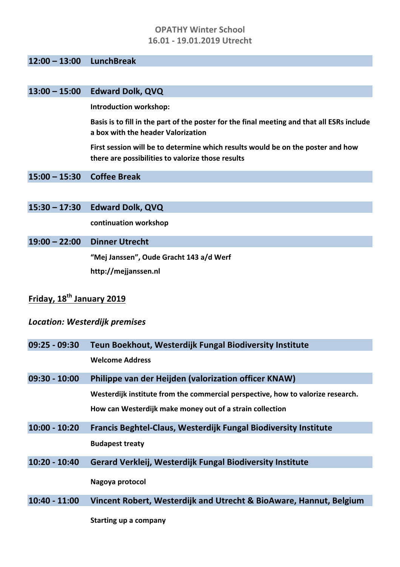## **OPATHY Winter School 16.01 - 19.01.2019 Utrecht**

#### **12:00 – 13:00 LunchBreak**

### **13:00 – 15:00 Edward Dolk, QVQ**

**Introduction workshop:** 

Basis is to fill in the part of the poster for the final meeting and that all ESRs include **a box with the header Valorization**

First session will be to determine which results would be on the poster and how there are possibilities to valorize those results

**15:00 – 15:30 Coffee Break**

**15:30 – 17:30 Edward Dolk, QVQ**

**continuation workshop**

#### **19:00 – 22:00 Dinner Utrecht**

"Mej Janssen", Oude Gracht 143 a/d Werf **http://mejjanssen.nl**

# **Friday, 18th January 2019**

#### *Location: Westerdijk premises*

| $09:25 - 09:30$ | Teun Boekhout, Westerdijk Fungal Biodiversity Institute                         |
|-----------------|---------------------------------------------------------------------------------|
|                 | <b>Welcome Address</b>                                                          |
| $09:30 - 10:00$ | Philippe van der Heijden (valorization officer KNAW)                            |
|                 | Westerdijk institute from the commercial perspective, how to valorize research. |
|                 | How can Westerdijk make money out of a strain collection                        |
| $10:00 - 10:20$ | <b>Francis Beghtel-Claus, Westerdijk Fungal Biodiversity Institute</b>          |
|                 | <b>Budapest treaty</b>                                                          |
| $10:20 - 10:40$ | <b>Gerard Verkleij, Westerdijk Fungal Biodiversity Institute</b>                |
|                 | Nagoya protocol                                                                 |
| $10:40 - 11:00$ | Vincent Robert, Westerdijk and Utrecht & BioAware, Hannut, Belgium              |
|                 |                                                                                 |

**Starting up a company**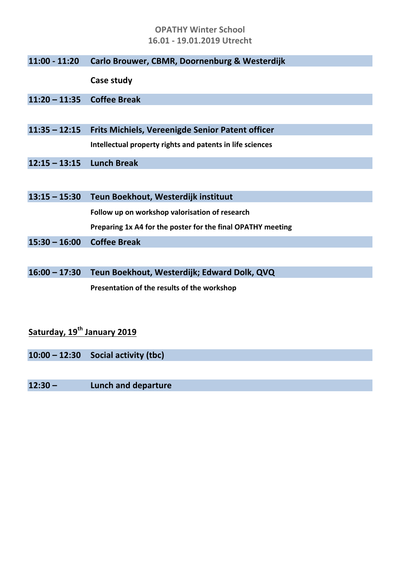## **OPATHY Winter School 16.01 - 19.01.2019 Utrecht**

|  | 11:00 - 11:20 Carlo Brouwer, CBMR, Doornenburg & Westerdijk |  |  |  |
|--|-------------------------------------------------------------|--|--|--|
|--|-------------------------------------------------------------|--|--|--|

**Case study**

- **11:20 – 11:35 Coffee Break**
- **11:35 – 12:15 Frits Michiels, Vereenigde Senior Patent officer Intellectual property rights and patents in life sciences**
- **12:15 – 13:15 Lunch Break**

| $13:15 - 15:30$ | Teun Boekhout, Westerdijk instituut                         |
|-----------------|-------------------------------------------------------------|
|                 | Follow up on workshop valorisation of research              |
|                 | Preparing 1x A4 for the poster for the final OPATHY meeting |
| $15:30 - 16:00$ | <b>Coffee Break</b>                                         |

**16:00 – 17:30 Teun Boekhout, Westerdijk; Edward Dolk, QVQ** Presentation of the results of the workshop

# **Saturday, 19th January 2019**

**10:00 – 12:30 Social activity (tbc)**

**12:30 – Lunch and departure**